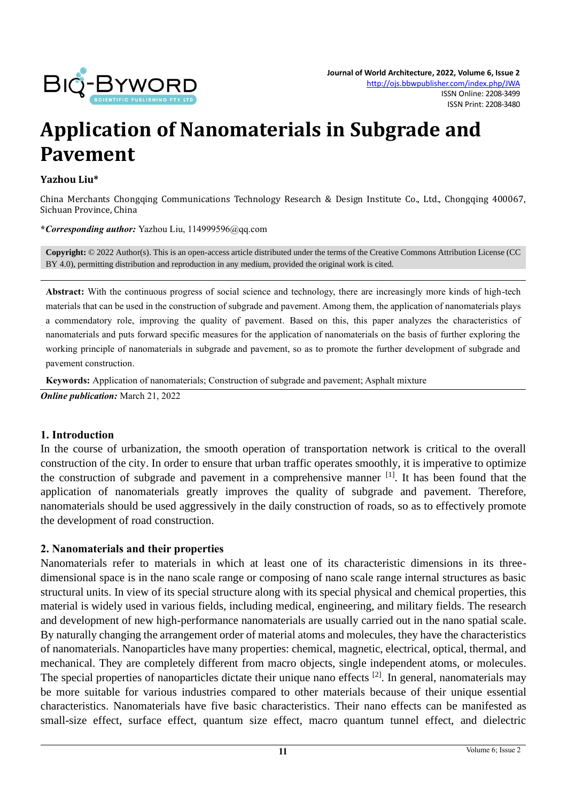

# **Application of Nanomaterials in Subgrade and Pavement**

#### **Yazhou Liu\***

China Merchants Chongqing Communications Technology Research & Design Institute Co., Ltd., Chongqing 400067, Sichuan Province, China

**\****Corresponding author:* Yazhou Liu, 114999596@qq.com

**Copyright:** © 2022 Author(s). This is an open-access article distributed under the terms of th[e Creative Commons Attribution License \(CC](https://creativecommons.org/licenses/by/4.0/)  [BY 4.0\),](https://creativecommons.org/licenses/by/4.0/) permitting distribution and reproduction in any medium, provided the original work is cited.

**Abstract:** With the continuous progress of social science and technology, there are increasingly more kinds of high-tech materials that can be used in the construction of subgrade and pavement. Among them, the application of nanomaterials plays a commendatory role, improving the quality of pavement. Based on this, this paper analyzes the characteristics of nanomaterials and puts forward specific measures for the application of nanomaterials on the basis of further exploring the working principle of nanomaterials in subgrade and pavement, so as to promote the further development of subgrade and pavement construction.

**Keywords:** Application of nanomaterials; Construction of subgrade and pavement; Asphalt mixture

*Online publication:* March 21, 2022

#### **1. Introduction**

In the course of urbanization, the smooth operation of transportation network is critical to the overall construction of the city. In order to ensure that urban traffic operates smoothly, it is imperative to optimize the construction of subgrade and pavement in a comprehensive manner [1]. It has been found that the application of nanomaterials greatly improves the quality of subgrade and pavement. Therefore, nanomaterials should be used aggressively in the daily construction of roads, so as to effectively promote the development of road construction.

#### **2. Nanomaterials and their properties**

Nanomaterials refer to materials in which at least one of its characteristic dimensions in its threedimensional space is in the nano scale range or composing of nano scale range internal structures as basic structural units. In view of its special structure along with its special physical and chemical properties, this material is widely used in various fields, including medical, engineering, and military fields. The research and development of new high-performance nanomaterials are usually carried out in the nano spatial scale. By naturally changing the arrangement order of material atoms and molecules, they have the characteristics of nanomaterials. Nanoparticles have many properties: chemical, magnetic, electrical, optical, thermal, and mechanical. They are completely different from macro objects, single independent atoms, or molecules. The special properties of nanoparticles dictate their unique nano effects <sup>[2]</sup>. In general, nanomaterials may be more suitable for various industries compared to other materials because of their unique essential characteristics. Nanomaterials have five basic characteristics. Their nano effects can be manifested as small-size effect, surface effect, quantum size effect, macro quantum tunnel effect, and dielectric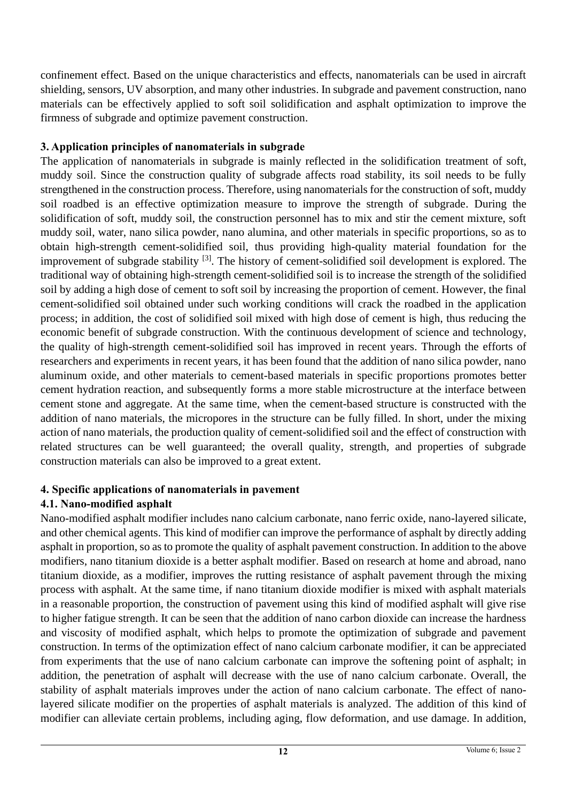confinement effect. Based on the unique characteristics and effects, nanomaterials can be used in aircraft shielding, sensors, UV absorption, and many other industries. In subgrade and pavement construction, nano materials can be effectively applied to soft soil solidification and asphalt optimization to improve the firmness of subgrade and optimize pavement construction.

## **3. Application principles of nanomaterials in subgrade**

The application of nanomaterials in subgrade is mainly reflected in the solidification treatment of soft, muddy soil. Since the construction quality of subgrade affects road stability, its soil needs to be fully strengthened in the construction process. Therefore, using nanomaterials for the construction of soft, muddy soil roadbed is an effective optimization measure to improve the strength of subgrade. During the solidification of soft, muddy soil, the construction personnel has to mix and stir the cement mixture, soft muddy soil, water, nano silica powder, nano alumina, and other materials in specific proportions, so as to obtain high-strength cement-solidified soil, thus providing high-quality material foundation for the improvement of subgrade stability <sup>[3]</sup>. The history of cement-solidified soil development is explored. The traditional way of obtaining high-strength cement-solidified soil is to increase the strength of the solidified soil by adding a high dose of cement to soft soil by increasing the proportion of cement. However, the final cement-solidified soil obtained under such working conditions will crack the roadbed in the application process; in addition, the cost of solidified soil mixed with high dose of cement is high, thus reducing the economic benefit of subgrade construction. With the continuous development of science and technology, the quality of high-strength cement-solidified soil has improved in recent years. Through the efforts of researchers and experiments in recent years, it has been found that the addition of nano silica powder, nano aluminum oxide, and other materials to cement-based materials in specific proportions promotes better cement hydration reaction, and subsequently forms a more stable microstructure at the interface between cement stone and aggregate. At the same time, when the cement-based structure is constructed with the addition of nano materials, the micropores in the structure can be fully filled. In short, under the mixing action of nano materials, the production quality of cement-solidified soil and the effect of construction with related structures can be well guaranteed; the overall quality, strength, and properties of subgrade construction materials can also be improved to a great extent.

# **4. Specific applications of nanomaterials in pavement**

# **4.1. Nano-modified asphalt**

Nano-modified asphalt modifier includes nano calcium carbonate, nano ferric oxide, nano-layered silicate, and other chemical agents. This kind of modifier can improve the performance of asphalt by directly adding asphalt in proportion, so as to promote the quality of asphalt pavement construction. In addition to the above modifiers, nano titanium dioxide is a better asphalt modifier. Based on research at home and abroad, nano titanium dioxide, as a modifier, improves the rutting resistance of asphalt pavement through the mixing process with asphalt. At the same time, if nano titanium dioxide modifier is mixed with asphalt materials in a reasonable proportion, the construction of pavement using this kind of modified asphalt will give rise to higher fatigue strength. It can be seen that the addition of nano carbon dioxide can increase the hardness and viscosity of modified asphalt, which helps to promote the optimization of subgrade and pavement construction. In terms of the optimization effect of nano calcium carbonate modifier, it can be appreciated from experiments that the use of nano calcium carbonate can improve the softening point of asphalt; in addition, the penetration of asphalt will decrease with the use of nano calcium carbonate. Overall, the stability of asphalt materials improves under the action of nano calcium carbonate. The effect of nanolayered silicate modifier on the properties of asphalt materials is analyzed. The addition of this kind of modifier can alleviate certain problems, including aging, flow deformation, and use damage. In addition,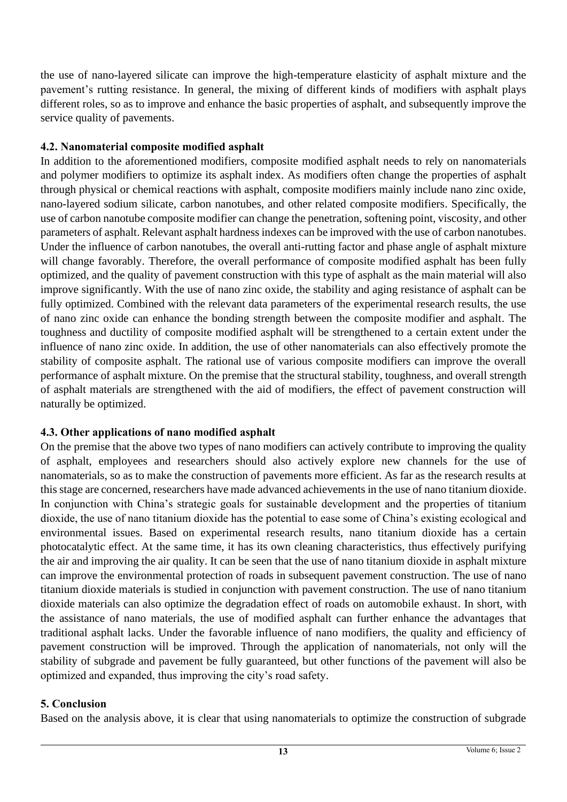the use of nano-layered silicate can improve the high-temperature elasticity of asphalt mixture and the pavement's rutting resistance. In general, the mixing of different kinds of modifiers with asphalt plays different roles, so as to improve and enhance the basic properties of asphalt, and subsequently improve the service quality of pavements.

### **4.2. Nanomaterial composite modified asphalt**

In addition to the aforementioned modifiers, composite modified asphalt needs to rely on nanomaterials and polymer modifiers to optimize its asphalt index. As modifiers often change the properties of asphalt through physical or chemical reactions with asphalt, composite modifiers mainly include nano zinc oxide, nano-layered sodium silicate, carbon nanotubes, and other related composite modifiers. Specifically, the use of carbon nanotube composite modifier can change the penetration, softening point, viscosity, and other parameters of asphalt. Relevant asphalt hardness indexes can be improved with the use of carbon nanotubes. Under the influence of carbon nanotubes, the overall anti-rutting factor and phase angle of asphalt mixture will change favorably. Therefore, the overall performance of composite modified asphalt has been fully optimized, and the quality of pavement construction with this type of asphalt as the main material will also improve significantly. With the use of nano zinc oxide, the stability and aging resistance of asphalt can be fully optimized. Combined with the relevant data parameters of the experimental research results, the use of nano zinc oxide can enhance the bonding strength between the composite modifier and asphalt. The toughness and ductility of composite modified asphalt will be strengthened to a certain extent under the influence of nano zinc oxide. In addition, the use of other nanomaterials can also effectively promote the stability of composite asphalt. The rational use of various composite modifiers can improve the overall performance of asphalt mixture. On the premise that the structural stability, toughness, and overall strength of asphalt materials are strengthened with the aid of modifiers, the effect of pavement construction will naturally be optimized.

# **4.3. Other applications of nano modified asphalt**

On the premise that the above two types of nano modifiers can actively contribute to improving the quality of asphalt, employees and researchers should also actively explore new channels for the use of nanomaterials, so as to make the construction of pavements more efficient. As far as the research results at this stage are concerned, researchers have made advanced achievements in the use of nano titanium dioxide. In conjunction with China's strategic goals for sustainable development and the properties of titanium dioxide, the use of nano titanium dioxide has the potential to ease some of China's existing ecological and environmental issues. Based on experimental research results, nano titanium dioxide has a certain photocatalytic effect. At the same time, it has its own cleaning characteristics, thus effectively purifying the air and improving the air quality. It can be seen that the use of nano titanium dioxide in asphalt mixture can improve the environmental protection of roads in subsequent pavement construction. The use of nano titanium dioxide materials is studied in conjunction with pavement construction. The use of nano titanium dioxide materials can also optimize the degradation effect of roads on automobile exhaust. In short, with the assistance of nano materials, the use of modified asphalt can further enhance the advantages that traditional asphalt lacks. Under the favorable influence of nano modifiers, the quality and efficiency of pavement construction will be improved. Through the application of nanomaterials, not only will the stability of subgrade and pavement be fully guaranteed, but other functions of the pavement will also be optimized and expanded, thus improving the city's road safety.

#### **5. Conclusion**

Based on the analysis above, it is clear that using nanomaterials to optimize the construction of subgrade